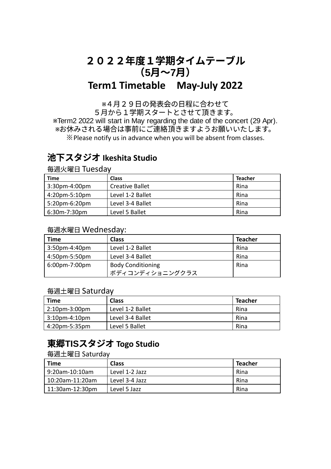# 2022年度1学期タイムテーブル (**5**⽉〜**7**⽉) **Term1 Timetable May-July 2022**

※4⽉29⽇の発表会の⽇程に合わせて

5月から1学期スタートとさせて頂きます。 ※Term2 2022 will start in May regarding the date of the concert (29 Apr). ※お休みされる場合は事前にご連絡頂きますようお願いいたします。 ※Please notify us in advance when you will be absent from classes.

# 池下スタジオ **Ikeshita Studio**

毎週⽕曜⽇ Tuesday

| Time          | <b>Class</b>           | <b>Teacher</b> |
|---------------|------------------------|----------------|
| 3:30pm-4:00pm | <b>Creative Ballet</b> | Rina           |
| 4:20pm-5:10pm | Level 1-2 Ballet       | Rina           |
| 5:20pm-6:20pm | Level 3-4 Ballet       | Rina           |
| 6:30m-7:30pm  | Level 5 Ballet         | Rina           |

#### 毎週⽔曜⽇ Wednesday:

| <b>Time</b>      | <b>Class</b>             | <b>Teacher</b> |
|------------------|--------------------------|----------------|
| $3:50$ pm-4:40pm | Level 1-2 Ballet         | Rina           |
| 4:50pm-5:50pm    | Level 3-4 Ballet         | Rina           |
| 6:00pm-7:00pm    | <b>Body Conditioning</b> | Rina           |
|                  | ボディコンディショニングクラス          |                |

### 毎週⼟曜⽇ Saturday

| Time             | <b>Class</b>     | <b>Teacher</b> |
|------------------|------------------|----------------|
| $2:10$ pm-3:00pm | Level 1-2 Ballet | Rina           |
| $3:10$ pm-4:10pm | Level 3-4 Ballet | Rina           |
| 4:20pm-5:35pm    | Level 5 Ballet   | Rina           |

# 東郷**TIS**スタジオ **Togo Studio**

#### 毎週⼟曜⽇ Saturday

| Time            | Class          | <b>Teacher</b> |
|-----------------|----------------|----------------|
| 9:20am-10:10am  | Level 1-2 Jazz | Rina           |
| 10:20am-11:20am | Level 3-4 Jazz | Rina           |
| 11:30am-12:30pm | Level 5 Jazz   | Rina           |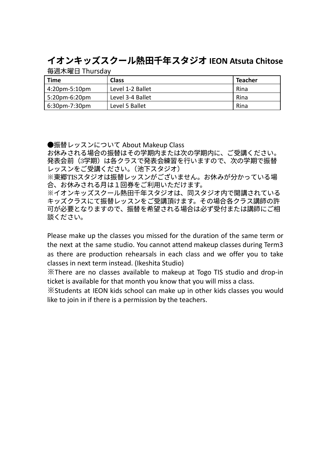# イオンキッズスクール熱⽥千年スタジオ **IEON Atsuta Chitose**

毎週⽊曜⽇ Thursday

| <b>Time</b>   | <b>Class</b>     | <b>Teacher</b> |
|---------------|------------------|----------------|
| 4:20pm-5:10pm | Level 1-2 Ballet | Rina           |
| 5:20pm-6:20pm | Level 3-4 Ballet | Rina           |
| 6:30pm-7:30pm | Level 5 Ballet   | Rina           |

●振替レッスンについて About Makeup Class

お休みされる場合の振替はその学期内または次の学期内に、ご受講ください。 発表会前(3学期)は各クラスで発表会練習を行いますので、次の学期で振替 レッスンをご受講ください。(池下スタジオ)

※東郷TISスタジオは振替レッスンがございません。お休みが分かっている場 合、お休みされる⽉は1回券をご利⽤いただけます。

※イオンキッズスクール熱田千年スタジオは、同スタジオ内で開講されている キッズクラスにて振替レッスンをご受講頂けます。その場合各クラス講師の許 可が必要となりますので、振替を希望される場合は必ず受付または講師にご相 談ください。

Please make up the classes you missed for the duration of the same term or the next at the same studio. You cannot attend makeup classes during Term3 as there are production rehearsals in each class and we offer you to take classes in next term instead. (Ikeshita Studio)

※There are no classes available to makeup at Togo TIS studio and drop-in ticket is available for that month you know that you will miss a class.

※Students at IEON kids school can make up in other kids classes you would like to join in if there is a permission by the teachers.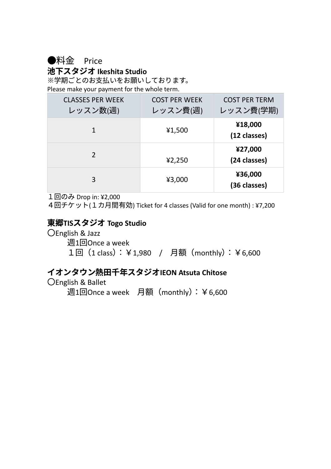●料金 Price

池下スタジオ **Ikeshita Studio**

※学期ごとのお支払いをお願いしております。 Please make your payment for the whole term.

| <b>CLASSES PER WEEK</b><br>レッスン数(週) | <b>COST PER WEEK</b><br>レッスン費(週) | <b>COST PER TERM</b><br>レッスン費(学期) |
|-------------------------------------|----------------------------------|-----------------------------------|
| 1                                   | ¥1,500                           | ¥18,000<br>(12 classes)           |
| 2                                   | 42,250                           | ¥27,000<br>(24 classes)           |
| 3                                   | ¥3,000                           | ¥36,000<br>(36 classes)           |

1回のみ Drop in: ¥2,000

4回チケット(1カ月間有効) Ticket for 4 classes (Valid for one month) : ¥7,200

## 東郷**TIS**スタジオ **Togo Studio**

〇English & Jazz

週1回Once a week

1回 (1 class): ¥1,980 / 月額 (monthly): ¥6,600

## イオンタウン熱⽥千年スタジオ**IEON Atsuta Chitose**

## 〇English & Ballet

週1回Once a week 月額 (monthly): ¥6,600